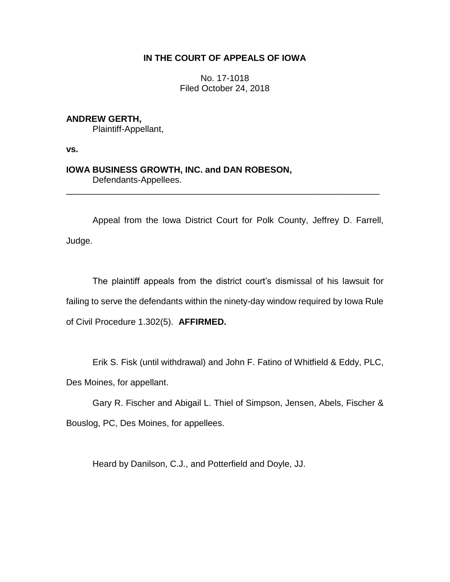# **IN THE COURT OF APPEALS OF IOWA**

No. 17-1018 Filed October 24, 2018

**ANDREW GERTH,**

Plaintiff-Appellant,

**vs.**

**IOWA BUSINESS GROWTH, INC. and DAN ROBESON,** Defendants-Appellees.

Appeal from the Iowa District Court for Polk County, Jeffrey D. Farrell, Judge.

\_\_\_\_\_\_\_\_\_\_\_\_\_\_\_\_\_\_\_\_\_\_\_\_\_\_\_\_\_\_\_\_\_\_\_\_\_\_\_\_\_\_\_\_\_\_\_\_\_\_\_\_\_\_\_\_\_\_\_\_\_\_\_\_

The plaintiff appeals from the district court's dismissal of his lawsuit for failing to serve the defendants within the ninety-day window required by Iowa Rule of Civil Procedure 1.302(5). **AFFIRMED.**

Erik S. Fisk (until withdrawal) and John F. Fatino of Whitfield & Eddy, PLC, Des Moines, for appellant.

Gary R. Fischer and Abigail L. Thiel of Simpson, Jensen, Abels, Fischer & Bouslog, PC, Des Moines, for appellees.

Heard by Danilson, C.J., and Potterfield and Doyle, JJ.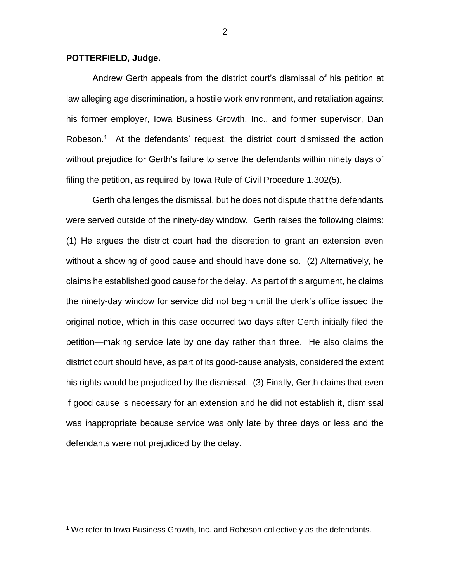## **POTTERFIELD, Judge.**

 $\overline{a}$ 

Andrew Gerth appeals from the district court's dismissal of his petition at law alleging age discrimination, a hostile work environment, and retaliation against his former employer, Iowa Business Growth, Inc., and former supervisor, Dan Robeson.<sup>1</sup> At the defendants' request, the district court dismissed the action without prejudice for Gerth's failure to serve the defendants within ninety days of filing the petition, as required by Iowa Rule of Civil Procedure 1.302(5).

Gerth challenges the dismissal, but he does not dispute that the defendants were served outside of the ninety-day window. Gerth raises the following claims: (1) He argues the district court had the discretion to grant an extension even without a showing of good cause and should have done so. (2) Alternatively, he claims he established good cause for the delay. As part of this argument, he claims the ninety-day window for service did not begin until the clerk's office issued the original notice, which in this case occurred two days after Gerth initially filed the petition—making service late by one day rather than three. He also claims the district court should have, as part of its good-cause analysis, considered the extent his rights would be prejudiced by the dismissal. (3) Finally, Gerth claims that even if good cause is necessary for an extension and he did not establish it, dismissal was inappropriate because service was only late by three days or less and the defendants were not prejudiced by the delay.

<sup>&</sup>lt;sup>1</sup> We refer to Iowa Business Growth, Inc. and Robeson collectively as the defendants.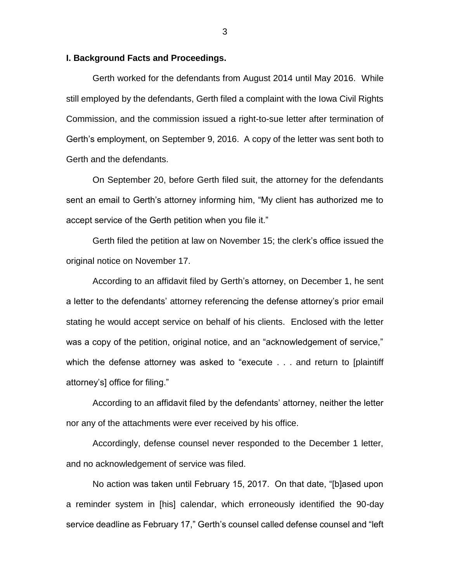### **I. Background Facts and Proceedings.**

Gerth worked for the defendants from August 2014 until May 2016. While still employed by the defendants, Gerth filed a complaint with the Iowa Civil Rights Commission, and the commission issued a right-to-sue letter after termination of Gerth's employment, on September 9, 2016. A copy of the letter was sent both to Gerth and the defendants.

On September 20, before Gerth filed suit, the attorney for the defendants sent an email to Gerth's attorney informing him, "My client has authorized me to accept service of the Gerth petition when you file it."

Gerth filed the petition at law on November 15; the clerk's office issued the original notice on November 17.

According to an affidavit filed by Gerth's attorney, on December 1, he sent a letter to the defendants' attorney referencing the defense attorney's prior email stating he would accept service on behalf of his clients. Enclosed with the letter was a copy of the petition, original notice, and an "acknowledgement of service," which the defense attorney was asked to "execute . . . and return to [plaintiff attorney's] office for filing."

According to an affidavit filed by the defendants' attorney, neither the letter nor any of the attachments were ever received by his office.

Accordingly, defense counsel never responded to the December 1 letter, and no acknowledgement of service was filed.

No action was taken until February 15, 2017. On that date, "[b]ased upon a reminder system in [his] calendar, which erroneously identified the 90-day service deadline as February 17," Gerth's counsel called defense counsel and "left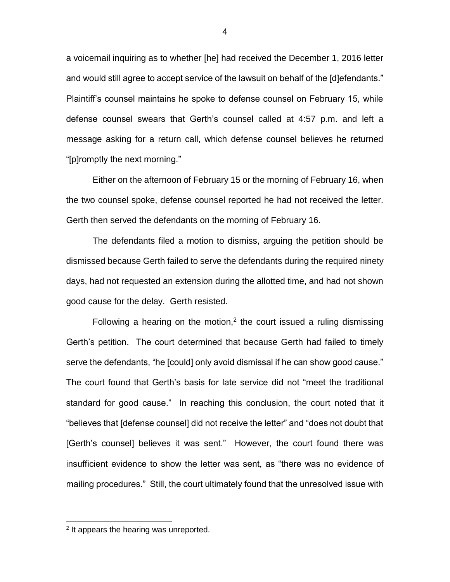a voicemail inquiring as to whether [he] had received the December 1, 2016 letter and would still agree to accept service of the lawsuit on behalf of the [d]efendants." Plaintiff's counsel maintains he spoke to defense counsel on February 15, while defense counsel swears that Gerth's counsel called at 4:57 p.m. and left a message asking for a return call, which defense counsel believes he returned "[p]romptly the next morning."

Either on the afternoon of February 15 or the morning of February 16, when the two counsel spoke, defense counsel reported he had not received the letter. Gerth then served the defendants on the morning of February 16.

The defendants filed a motion to dismiss, arguing the petition should be dismissed because Gerth failed to serve the defendants during the required ninety days, had not requested an extension during the allotted time, and had not shown good cause for the delay. Gerth resisted.

Following a hearing on the motion,<sup>2</sup> the court issued a ruling dismissing Gerth's petition. The court determined that because Gerth had failed to timely serve the defendants, "he [could] only avoid dismissal if he can show good cause." The court found that Gerth's basis for late service did not "meet the traditional standard for good cause." In reaching this conclusion, the court noted that it "believes that [defense counsel] did not receive the letter" and "does not doubt that [Gerth's counsel] believes it was sent." However, the court found there was insufficient evidence to show the letter was sent, as "there was no evidence of mailing procedures." Still, the court ultimately found that the unresolved issue with

 $\overline{a}$ 

<sup>&</sup>lt;sup>2</sup> It appears the hearing was unreported.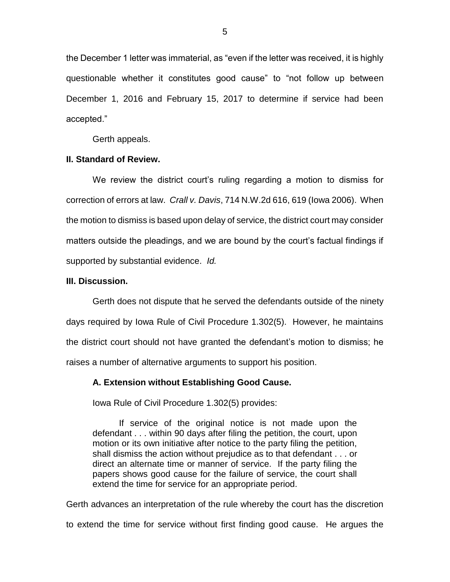the December 1 letter was immaterial, as "even if the letter was received, it is highly questionable whether it constitutes good cause" to "not follow up between December 1, 2016 and February 15, 2017 to determine if service had been accepted."

Gerth appeals.

## **II. Standard of Review.**

We review the district court's ruling regarding a motion to dismiss for correction of errors at law. *Crall v. Davis*, 714 N.W.2d 616, 619 (Iowa 2006). When the motion to dismiss is based upon delay of service, the district court may consider matters outside the pleadings, and we are bound by the court's factual findings if supported by substantial evidence. *Id.* 

#### **III. Discussion.**

Gerth does not dispute that he served the defendants outside of the ninety days required by Iowa Rule of Civil Procedure 1.302(5). However, he maintains the district court should not have granted the defendant's motion to dismiss; he raises a number of alternative arguments to support his position.

## **A. Extension without Establishing Good Cause.**

Iowa Rule of Civil Procedure 1.302(5) provides:

If service of the original notice is not made upon the defendant . . . within 90 days after filing the petition, the court, upon motion or its own initiative after notice to the party filing the petition, shall dismiss the action without prejudice as to that defendant . . . or direct an alternate time or manner of service. If the party filing the papers shows good cause for the failure of service, the court shall extend the time for service for an appropriate period.

Gerth advances an interpretation of the rule whereby the court has the discretion to extend the time for service without first finding good cause. He argues the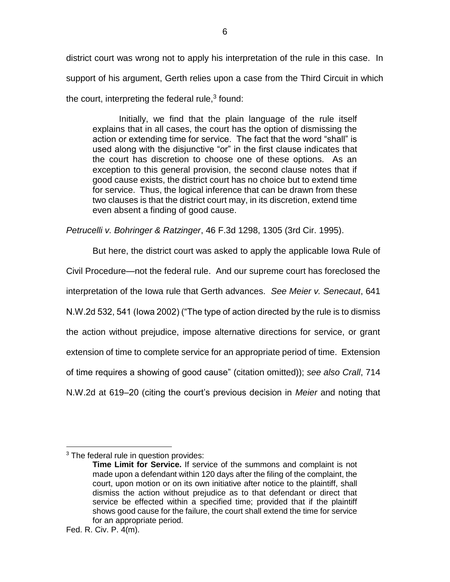district court was wrong not to apply his interpretation of the rule in this case. In support of his argument, Gerth relies upon a case from the Third Circuit in which the court, interpreting the federal rule, $3$  found:

Initially, we find that the plain language of the rule itself explains that in all cases, the court has the option of dismissing the action or extending time for service. The fact that the word "shall" is used along with the disjunctive "or" in the first clause indicates that the court has discretion to choose one of these options. As an exception to this general provision, the second clause notes that if good cause exists, the district court has no choice but to extend time for service. Thus, the logical inference that can be drawn from these two clauses is that the district court may, in its discretion, extend time even absent a finding of good cause.

*Petrucelli v. Bohringer & Ratzinger*, 46 F.3d 1298, 1305 (3rd Cir. 1995).

But here, the district court was asked to apply the applicable Iowa Rule of Civil Procedure—not the federal rule. And our supreme court has foreclosed the interpretation of the Iowa rule that Gerth advances. *See Meier v. Senecaut*, 641 N.W.2d 532, 541 (Iowa 2002) ("The type of action directed by the rule is to dismiss the action without prejudice, impose alternative directions for service, or grant extension of time to complete service for an appropriate period of time. Extension of time requires a showing of good cause" (citation omitted)); *see also Crall*, 714 N.W.2d at 619–20 (citing the court's previous decision in *Meier* and noting that

 $\overline{a}$ <sup>3</sup> The federal rule in question provides:

**Time Limit for Service.** If service of the summons and complaint is not made upon a defendant within 120 days after the filing of the complaint, the court, upon motion or on its own initiative after notice to the plaintiff, shall dismiss the action without prejudice as to that defendant or direct that service be effected within a specified time; provided that if the plaintiff shows good cause for the failure, the court shall extend the time for service for an appropriate period.

Fed. R. Civ. P. 4(m).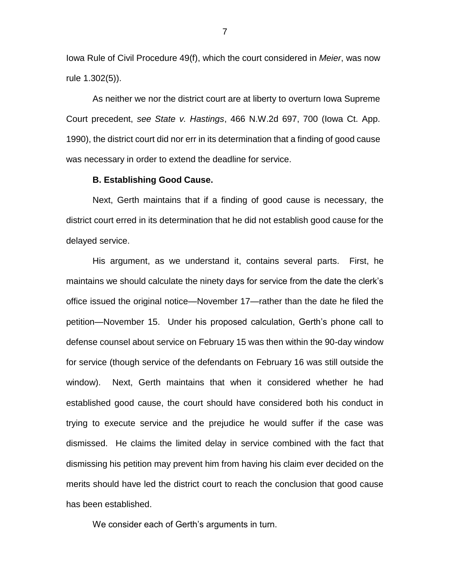Iowa Rule of Civil Procedure 49(f), which the court considered in *Meier*, was now rule 1.302(5)).

As neither we nor the district court are at liberty to overturn Iowa Supreme Court precedent, *see State v. Hastings*, 466 N.W.2d 697, 700 (Iowa Ct. App. 1990), the district court did nor err in its determination that a finding of good cause was necessary in order to extend the deadline for service.

#### **B. Establishing Good Cause.**

Next, Gerth maintains that if a finding of good cause is necessary, the district court erred in its determination that he did not establish good cause for the delayed service.

His argument, as we understand it, contains several parts. First, he maintains we should calculate the ninety days for service from the date the clerk's office issued the original notice—November 17—rather than the date he filed the petition—November 15. Under his proposed calculation, Gerth's phone call to defense counsel about service on February 15 was then within the 90-day window for service (though service of the defendants on February 16 was still outside the window). Next, Gerth maintains that when it considered whether he had established good cause, the court should have considered both his conduct in trying to execute service and the prejudice he would suffer if the case was dismissed. He claims the limited delay in service combined with the fact that dismissing his petition may prevent him from having his claim ever decided on the merits should have led the district court to reach the conclusion that good cause has been established.

We consider each of Gerth's arguments in turn.

7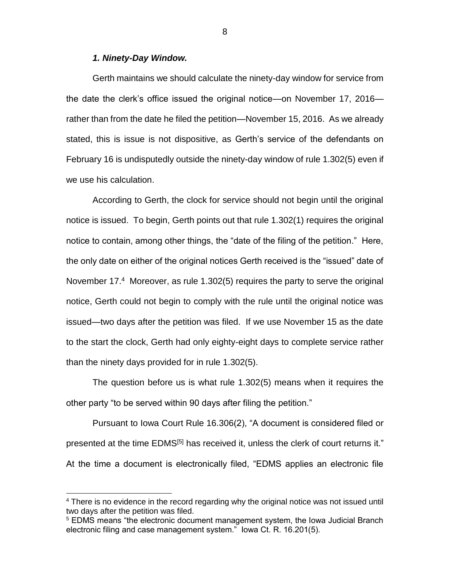### *1. Ninety-Day Window.*

 $\overline{a}$ 

Gerth maintains we should calculate the ninety-day window for service from the date the clerk's office issued the original notice—on November 17, 2016 rather than from the date he filed the petition—November 15, 2016. As we already stated, this is issue is not dispositive, as Gerth's service of the defendants on February 16 is undisputedly outside the ninety-day window of rule 1.302(5) even if we use his calculation.

According to Gerth, the clock for service should not begin until the original notice is issued. To begin, Gerth points out that rule 1.302(1) requires the original notice to contain, among other things, the "date of the filing of the petition." Here, the only date on either of the original notices Gerth received is the "issued" date of November 17.<sup>4</sup> Moreover, as rule 1.302(5) requires the party to serve the original notice, Gerth could not begin to comply with the rule until the original notice was issued—two days after the petition was filed. If we use November 15 as the date to the start the clock, Gerth had only eighty-eight days to complete service rather than the ninety days provided for in rule 1.302(5).

The question before us is what rule 1.302(5) means when it requires the other party "to be served within 90 days after filing the petition."

Pursuant to Iowa Court Rule 16.306(2), "A document is considered filed or presented at the time EDMS<sup>[5]</sup> has received it, unless the clerk of court returns it." At the time a document is electronically filed, "EDMS applies an electronic file

<sup>&</sup>lt;sup>4</sup> There is no evidence in the record regarding why the original notice was not issued until two days after the petition was filed.

<sup>&</sup>lt;sup>5</sup> EDMS means "the electronic document management system, the Iowa Judicial Branch electronic filing and case management system." Iowa Ct. R. 16.201(5).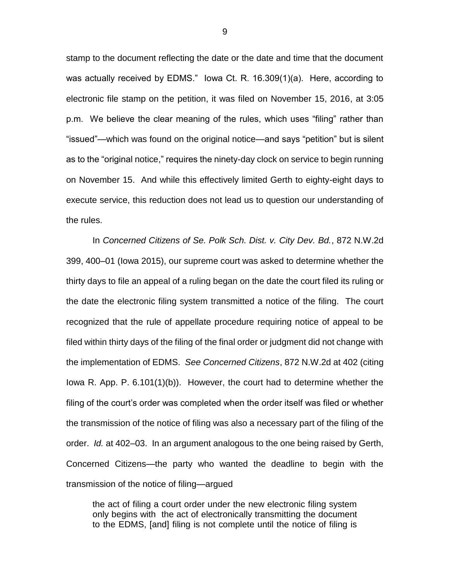stamp to the document reflecting the date or the date and time that the document was actually received by EDMS." Iowa Ct. R. 16.309(1)(a). Here, according to electronic file stamp on the petition, it was filed on November 15, 2016, at 3:05 p.m. We believe the clear meaning of the rules, which uses "filing" rather than "issued"—which was found on the original notice—and says "petition" but is silent as to the "original notice," requires the ninety-day clock on service to begin running on November 15. And while this effectively limited Gerth to eighty-eight days to execute service, this reduction does not lead us to question our understanding of the rules.

In *Concerned Citizens of Se. Polk Sch. Dist. v. City Dev. Bd.*, 872 N.W.2d 399, 400–01 (Iowa 2015), our supreme court was asked to determine whether the thirty days to file an appeal of a ruling began on the date the court filed its ruling or the date the electronic filing system transmitted a notice of the filing. The court recognized that the rule of appellate procedure requiring notice of appeal to be filed within thirty days of the filing of the final order or judgment did not change with the implementation of EDMS. *See Concerned Citizens*, 872 N.W.2d at 402 (citing Iowa R. App. P. 6.101(1)(b)). However, the court had to determine whether the filing of the court's order was completed when the order itself was filed or whether the transmission of the notice of filing was also a necessary part of the filing of the order. *Id.* at 402–03. In an argument analogous to the one being raised by Gerth, Concerned Citizens—the party who wanted the deadline to begin with the transmission of the notice of filing—argued

the act of filing a court order under the new electronic filing system only begins with the act of electronically transmitting the document to the EDMS, [and] filing is not complete until the notice of filing is

9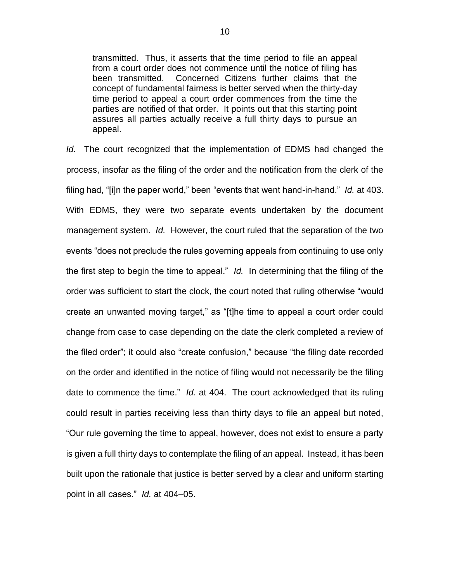transmitted. Thus, it asserts that the time period to file an appeal from a court order does not commence until the notice of filing has been transmitted. Concerned Citizens further claims that the concept of fundamental fairness is better served when the thirty-day time period to appeal a court order commences from the time the parties are notified of that order. It points out that this starting point assures all parties actually receive a full thirty days to pursue an appeal.

*Id.* The court recognized that the implementation of EDMS had changed the process, insofar as the filing of the order and the notification from the clerk of the filing had, "[i]n the paper world," been "events that went hand-in-hand." *Id.* at 403. With EDMS, they were two separate events undertaken by the document management system. *Id.* However, the court ruled that the separation of the two events "does not preclude the rules governing appeals from continuing to use only the first step to begin the time to appeal." *Id.* In determining that the filing of the order was sufficient to start the clock, the court noted that ruling otherwise "would create an unwanted moving target," as "[t]he time to appeal a court order could change from case to case depending on the date the clerk completed a review of the filed order"; it could also "create confusion," because "the filing date recorded on the order and identified in the notice of filing would not necessarily be the filing date to commence the time." *Id.* at 404. The court acknowledged that its ruling could result in parties receiving less than thirty days to file an appeal but noted, "Our rule governing the time to appeal, however, does not exist to ensure a party is given a full thirty days to contemplate the filing of an appeal. Instead, it has been built upon the rationale that justice is better served by a clear and uniform starting point in all cases." *Id.* at 404–05.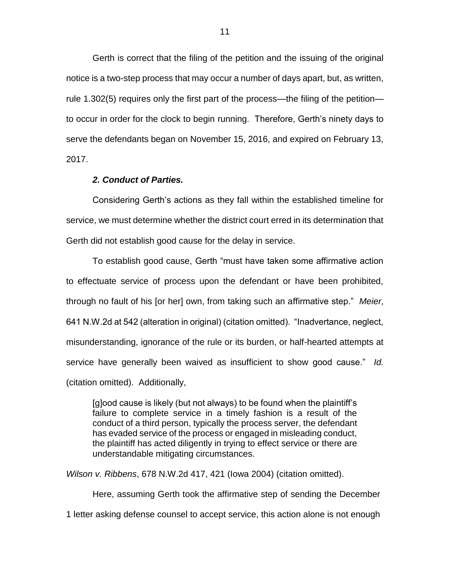Gerth is correct that the filing of the petition and the issuing of the original notice is a two-step process that may occur a number of days apart, but, as written, rule 1.302(5) requires only the first part of the process—the filing of the petition to occur in order for the clock to begin running. Therefore, Gerth's ninety days to serve the defendants began on November 15, 2016, and expired on February 13, 2017.

## *2. Conduct of Parties.*

Considering Gerth's actions as they fall within the established timeline for service, we must determine whether the district court erred in its determination that Gerth did not establish good cause for the delay in service.

To establish good cause, Gerth "must have taken some affirmative action to effectuate service of process upon the defendant or have been prohibited, through no fault of his [or her] own, from taking such an affirmative step." *Meier*, 641 N.W.2d at 542 (alteration in original) (citation omitted). "Inadvertance, neglect, misunderstanding, ignorance of the rule or its burden, or half-hearted attempts at service have generally been waived as insufficient to show good cause." *Id.*  (citation omitted). Additionally,

[g]ood cause is likely (but not always) to be found when the plaintiff's failure to complete service in a timely fashion is a result of the conduct of a third person, typically the process server, the defendant has evaded service of the process or engaged in misleading conduct, the plaintiff has acted diligently in trying to effect service or there are understandable mitigating circumstances.

*Wilson v. Ribbens*, 678 N.W.2d 417, 421 (Iowa 2004) (citation omitted).

Here, assuming Gerth took the affirmative step of sending the December 1 letter asking defense counsel to accept service, this action alone is not enough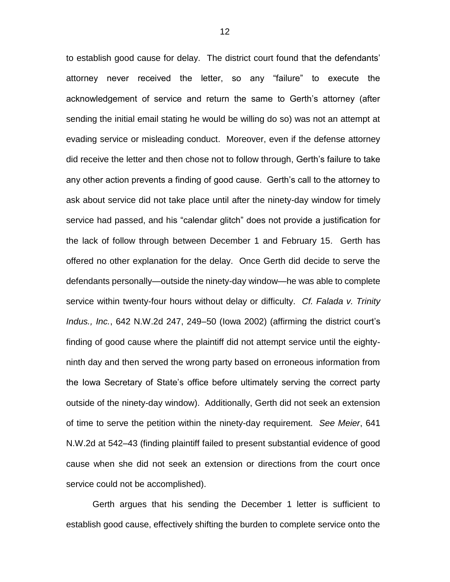to establish good cause for delay. The district court found that the defendants' attorney never received the letter, so any "failure" to execute the acknowledgement of service and return the same to Gerth's attorney (after sending the initial email stating he would be willing do so) was not an attempt at evading service or misleading conduct. Moreover, even if the defense attorney did receive the letter and then chose not to follow through, Gerth's failure to take any other action prevents a finding of good cause. Gerth's call to the attorney to ask about service did not take place until after the ninety-day window for timely service had passed, and his "calendar glitch" does not provide a justification for the lack of follow through between December 1 and February 15. Gerth has offered no other explanation for the delay. Once Gerth did decide to serve the defendants personally—outside the ninety-day window—he was able to complete service within twenty-four hours without delay or difficulty. *Cf. Falada v. Trinity Indus., Inc.*, 642 N.W.2d 247, 249–50 (Iowa 2002) (affirming the district court's finding of good cause where the plaintiff did not attempt service until the eightyninth day and then served the wrong party based on erroneous information from the Iowa Secretary of State's office before ultimately serving the correct party outside of the ninety-day window). Additionally, Gerth did not seek an extension of time to serve the petition within the ninety-day requirement. *See Meier*, 641 N.W.2d at 542–43 (finding plaintiff failed to present substantial evidence of good cause when she did not seek an extension or directions from the court once service could not be accomplished).

Gerth argues that his sending the December 1 letter is sufficient to establish good cause, effectively shifting the burden to complete service onto the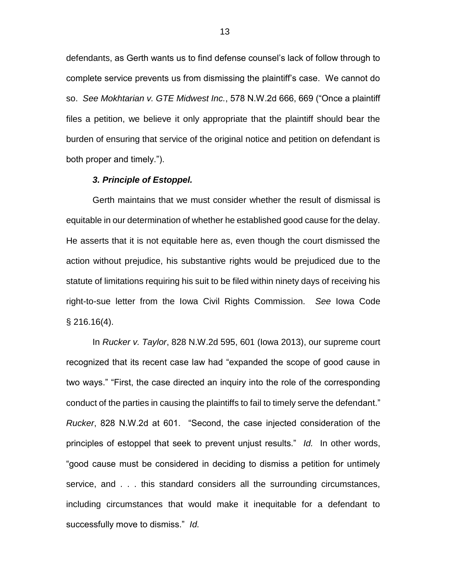defendants, as Gerth wants us to find defense counsel's lack of follow through to complete service prevents us from dismissing the plaintiff's case. We cannot do so. *See Mokhtarian v. GTE Midwest Inc.*, 578 N.W.2d 666, 669 ("Once a plaintiff files a petition, we believe it only appropriate that the plaintiff should bear the burden of ensuring that service of the original notice and petition on defendant is both proper and timely.").

#### *3. Principle of Estoppel.*

Gerth maintains that we must consider whether the result of dismissal is equitable in our determination of whether he established good cause for the delay. He asserts that it is not equitable here as, even though the court dismissed the action without prejudice, his substantive rights would be prejudiced due to the statute of limitations requiring his suit to be filed within ninety days of receiving his right-to-sue letter from the Iowa Civil Rights Commission. *See* Iowa Code § 216.16(4).

In *Rucker v. Taylor*, 828 N.W.2d 595, 601 (Iowa 2013), our supreme court recognized that its recent case law had "expanded the scope of good cause in two ways." "First, the case directed an inquiry into the role of the corresponding conduct of the parties in causing the plaintiffs to fail to timely serve the defendant." *Rucker*, 828 N.W.2d at 601. "Second, the case injected consideration of the principles of estoppel that seek to prevent unjust results." *Id.* In other words, "good cause must be considered in deciding to dismiss a petition for untimely service, and . . . this standard considers all the surrounding circumstances, including circumstances that would make it inequitable for a defendant to successfully move to dismiss." *Id.*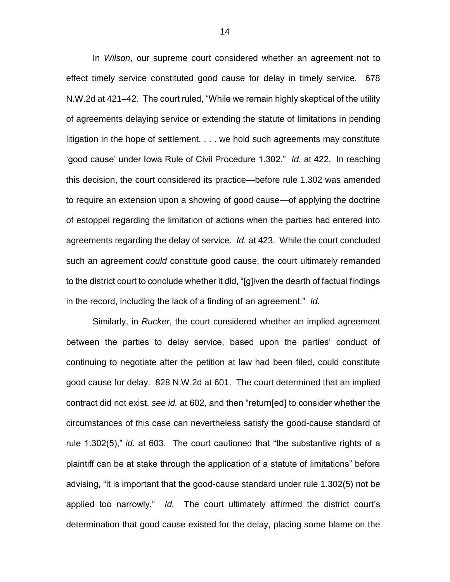In *Wilson*, our supreme court considered whether an agreement not to effect timely service constituted good cause for delay in timely service. 678 N.W.2d at 421–42. The court ruled, "While we remain highly skeptical of the utility of agreements delaying service or extending the statute of limitations in pending litigation in the hope of settlement, . . . we hold such agreements may constitute 'good cause' under Iowa Rule of Civil Procedure 1.302." *Id.* at 422. In reaching this decision, the court considered its practice—before rule 1.302 was amended to require an extension upon a showing of good cause—of applying the doctrine of estoppel regarding the limitation of actions when the parties had entered into agreements regarding the delay of service. *Id.* at 423. While the court concluded such an agreement *could* constitute good cause, the court ultimately remanded to the district court to conclude whether it did, "[g]iven the dearth of factual findings in the record, including the lack of a finding of an agreement." *Id.*

Similarly, in *Rucker*, the court considered whether an implied agreement between the parties to delay service, based upon the parties' conduct of continuing to negotiate after the petition at law had been filed, could constitute good cause for delay. 828 N.W.2d at 601. The court determined that an implied contract did not exist, *see id.* at 602, and then "return[ed] to consider whether the circumstances of this case can nevertheless satisfy the good-cause standard of rule 1.302(5)," *id.* at 603. The court cautioned that "the substantive rights of a plaintiff can be at stake through the application of a statute of limitations" before advising, "it is important that the good-cause standard under rule 1.302(5) not be applied too narrowly." *Id.* The court ultimately affirmed the district court's determination that good cause existed for the delay, placing some blame on the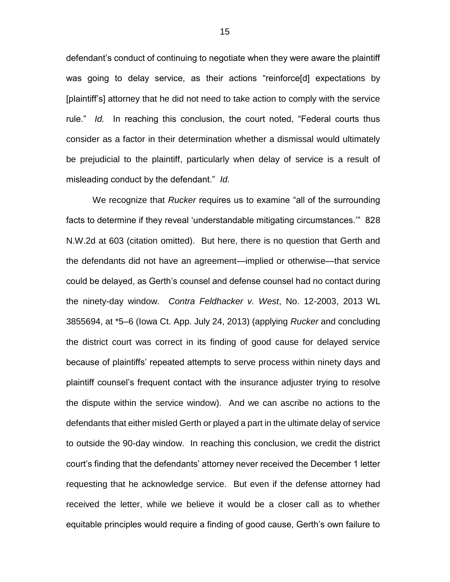defendant's conduct of continuing to negotiate when they were aware the plaintiff was going to delay service, as their actions "reinforce[d] expectations by [plaintiff's] attorney that he did not need to take action to comply with the service rule." *Id.* In reaching this conclusion, the court noted, "Federal courts thus consider as a factor in their determination whether a dismissal would ultimately be prejudicial to the plaintiff, particularly when delay of service is a result of misleading conduct by the defendant." *Id.* 

We recognize that *Rucker* requires us to examine "all of the surrounding facts to determine if they reveal 'understandable mitigating circumstances.'" 828 N.W.2d at 603 (citation omitted). But here, there is no question that Gerth and the defendants did not have an agreement—implied or otherwise—that service could be delayed, as Gerth's counsel and defense counsel had no contact during the ninety-day window. *Contra Feldhacker v. West*, No. 12-2003, 2013 WL 3855694, at \*5–6 (Iowa Ct. App. July 24, 2013) (applying *Rucker* and concluding the district court was correct in its finding of good cause for delayed service because of plaintiffs' repeated attempts to serve process within ninety days and plaintiff counsel's frequent contact with the insurance adjuster trying to resolve the dispute within the service window). And we can ascribe no actions to the defendants that either misled Gerth or played a part in the ultimate delay of service to outside the 90-day window. In reaching this conclusion, we credit the district court's finding that the defendants' attorney never received the December 1 letter requesting that he acknowledge service. But even if the defense attorney had received the letter, while we believe it would be a closer call as to whether equitable principles would require a finding of good cause, Gerth's own failure to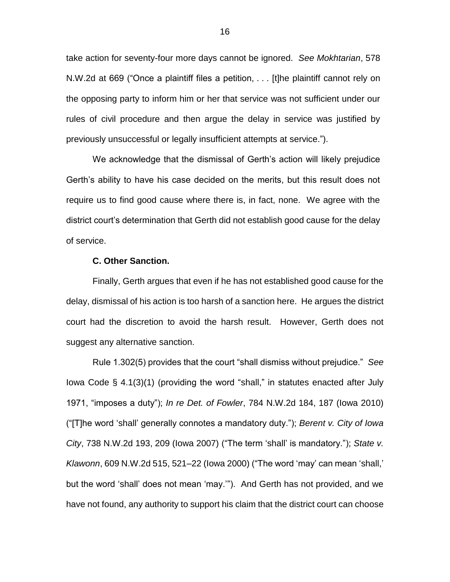take action for seventy-four more days cannot be ignored. *See Mokhtarian*, 578 N.W.2d at 669 ("Once a plaintiff files a petition, . . . [t]he plaintiff cannot rely on the opposing party to inform him or her that service was not sufficient under our rules of civil procedure and then argue the delay in service was justified by previously unsuccessful or legally insufficient attempts at service.").

We acknowledge that the dismissal of Gerth's action will likely prejudice Gerth's ability to have his case decided on the merits, but this result does not require us to find good cause where there is, in fact, none. We agree with the district court's determination that Gerth did not establish good cause for the delay of service.

## **C. Other Sanction.**

Finally, Gerth argues that even if he has not established good cause for the delay, dismissal of his action is too harsh of a sanction here. He argues the district court had the discretion to avoid the harsh result. However, Gerth does not suggest any alternative sanction.

Rule 1.302(5) provides that the court "shall dismiss without prejudice." *See* Iowa Code § 4.1(3)(1) (providing the word "shall," in statutes enacted after July 1971, "imposes a duty"); *In re Det. of Fowler*, 784 N.W.2d 184, 187 (Iowa 2010) ("[T]he word 'shall' generally connotes a mandatory duty."); *Berent v. City of Iowa City*, 738 N.W.2d 193, 209 (Iowa 2007) ("The term 'shall' is mandatory."); *State v. Klawonn*, 609 N.W.2d 515, 521–22 (Iowa 2000) ("The word 'may' can mean 'shall,' but the word 'shall' does not mean 'may.'"). And Gerth has not provided, and we have not found, any authority to support his claim that the district court can choose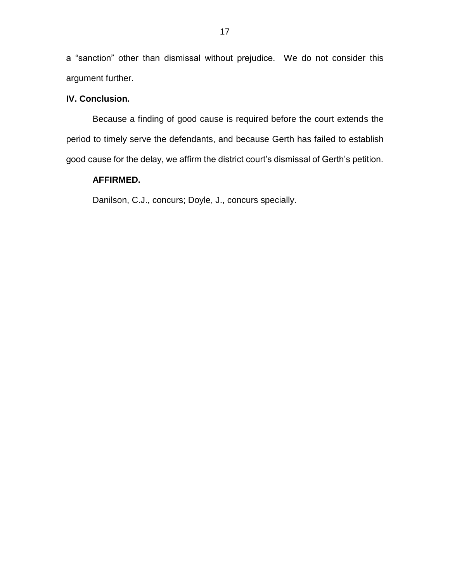a "sanction" other than dismissal without prejudice. We do not consider this argument further.

# **IV. Conclusion.**

Because a finding of good cause is required before the court extends the period to timely serve the defendants, and because Gerth has failed to establish good cause for the delay, we affirm the district court's dismissal of Gerth's petition.

# **AFFIRMED.**

Danilson, C.J., concurs; Doyle, J., concurs specially.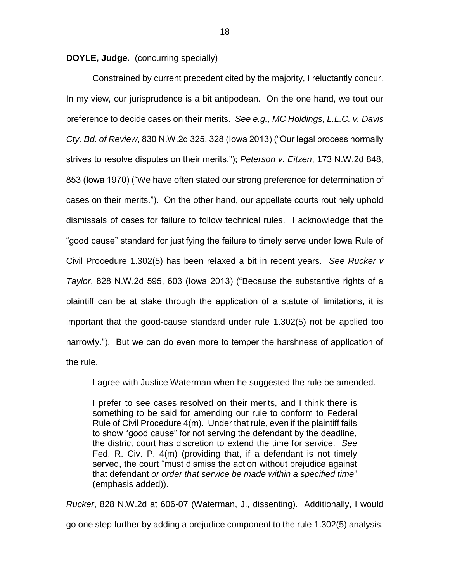**DOYLE, Judge.** (concurring specially)

Constrained by current precedent cited by the majority, I reluctantly concur. In my view, our jurisprudence is a bit antipodean. On the one hand, we tout our preference to decide cases on their merits. *See e.g., MC Holdings, L.L.C. v. Davis Cty. Bd. of Review*, 830 N.W.2d 325, 328 (Iowa 2013) ("Our legal process normally strives to resolve disputes on their merits."); *Peterson v. Eitzen*, 173 N.W.2d 848, 853 (Iowa 1970) ("We have often stated our strong preference for determination of cases on their merits."). On the other hand, our appellate courts routinely uphold dismissals of cases for failure to follow technical rules. I acknowledge that the "good cause" standard for justifying the failure to timely serve under Iowa Rule of Civil Procedure 1.302(5) has been relaxed a bit in recent years. *See Rucker v Taylor*, 828 N.W.2d 595, 603 (Iowa 2013) ("Because the substantive rights of a plaintiff can be at stake through the application of a statute of limitations, it is important that the good-cause standard under rule 1.302(5) not be applied too narrowly."). But we can do even more to temper the harshness of application of the rule.

I agree with Justice Waterman when he suggested the rule be amended.

I prefer to see cases resolved on their merits, and I think there is something to be said for amending our rule to conform to Federal Rule of Civil Procedure 4(m). Under that rule, even if the plaintiff fails to show "good cause" for not serving the defendant by the deadline, the district court has discretion to extend the time for service. *See* Fed. R. Civ. P. 4(m) (providing that, if a defendant is not timely served, the court "must dismiss the action without prejudice against that defendant *or order that service be made within a specified time*" (emphasis added)).

*Rucker*, 828 N.W.2d at 606-07 (Waterman, J., dissenting). Additionally, I would go one step further by adding a prejudice component to the rule 1.302(5) analysis.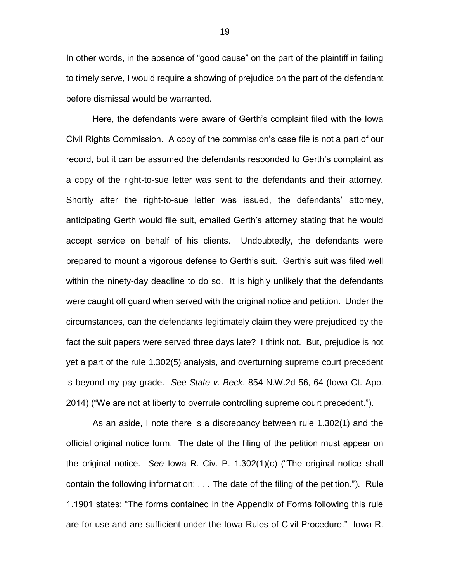In other words, in the absence of "good cause" on the part of the plaintiff in failing to timely serve, I would require a showing of prejudice on the part of the defendant before dismissal would be warranted.

Here, the defendants were aware of Gerth's complaint filed with the Iowa Civil Rights Commission. A copy of the commission's case file is not a part of our record, but it can be assumed the defendants responded to Gerth's complaint as a copy of the right-to-sue letter was sent to the defendants and their attorney. Shortly after the right-to-sue letter was issued, the defendants' attorney, anticipating Gerth would file suit, emailed Gerth's attorney stating that he would accept service on behalf of his clients. Undoubtedly, the defendants were prepared to mount a vigorous defense to Gerth's suit. Gerth's suit was filed well within the ninety-day deadline to do so. It is highly unlikely that the defendants were caught off guard when served with the original notice and petition. Under the circumstances, can the defendants legitimately claim they were prejudiced by the fact the suit papers were served three days late? I think not. But, prejudice is not yet a part of the rule 1.302(5) analysis, and overturning supreme court precedent is beyond my pay grade. *See State v. Beck*, 854 N.W.2d 56, 64 (Iowa Ct. App. 2014) ("We are not at liberty to overrule controlling supreme court precedent.").

As an aside, I note there is a discrepancy between rule 1.302(1) and the official original notice form. The date of the filing of the petition must appear on the original notice. *See* Iowa R. Civ. P. 1.302(1)(c) ("The original notice shall contain the following information: . . . The date of the filing of the petition."). Rule 1.1901 states: "The forms contained in the Appendix of Forms following this rule are for use and are sufficient under the Iowa Rules of Civil Procedure." Iowa R.